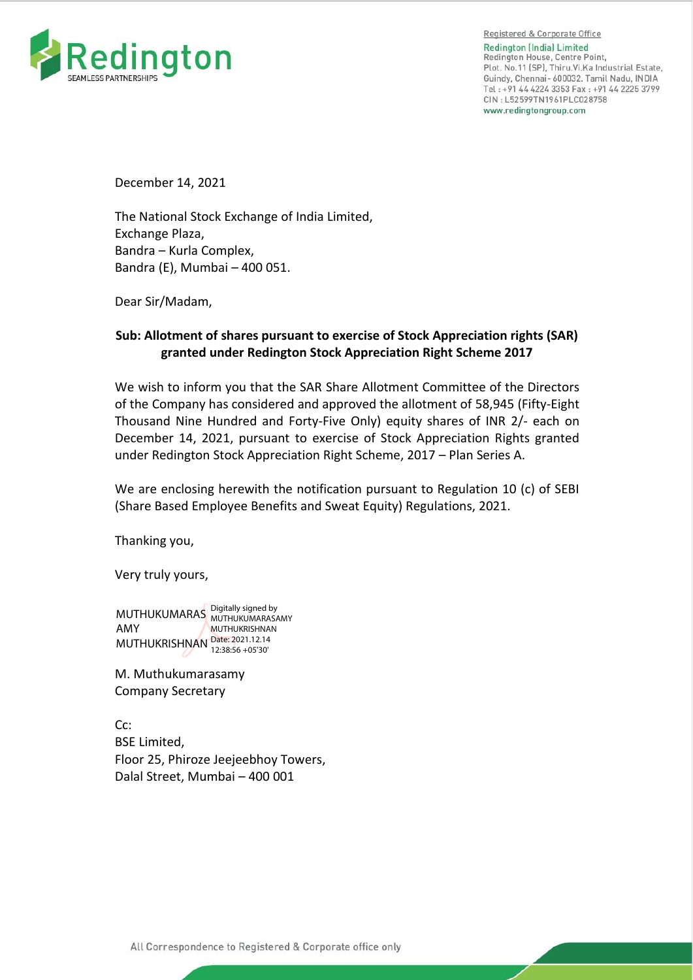

Registered & Corporate Office **Redinaton (India) Limited** Redington House, Centre Point, Plot. No.11 (SP), Thiru. Vi. Ka Industrial Estate, Guindy, Chennai- 600032. Tamil Nadu, INDIA Tel: +91 44 4224 3353 Fax: +91 44 2225 3799 CIN: L52599TN1961PLC028758 www.redingtongroup.com

December 14, 2021

The National Stock Exchange of India Limited, Exchange Plaza, Bandra – Kurla Complex, Bandra (E), Mumbai – 400 051.

Dear Sir/Madam,

## **Sub: Allotment of shares pursuant to exercise of Stock Appreciation rights (SAR) granted under Redington Stock Appreciation Right Scheme 2017**

We wish to inform you that the SAR Share Allotment Committee of the Directors of the Company has considered and approved the allotment of 58,945 (Fifty-Eight Thousand Nine Hundred and Forty-Five Only) equity shares of INR 2/- each on December 14, 2021, pursuant to exercise of Stock Appreciation Rights granted under Redington Stock Appreciation Right Scheme, 2017 – Plan Series A.

We are enclosing herewith the notification pursuant to Regulation 10 (c) of SEBI (Share Based Employee Benefits and Sweat Equity) Regulations, 2021.

Thanking you,

Very truly yours,

MUTHUKUMARAS Digitally signed by AMY MUTHUKRISHNAN Date: 2021.12.14 MUTHUKUMARASAMY MUTHUKRISHNAN 12:38:56 +05'30'

M. Muthukumarasamy Company Secretary

Cc: BSE Limited, Floor 25, Phiroze Jeejeebhoy Towers, Dalal Street, Mumbai – 400 001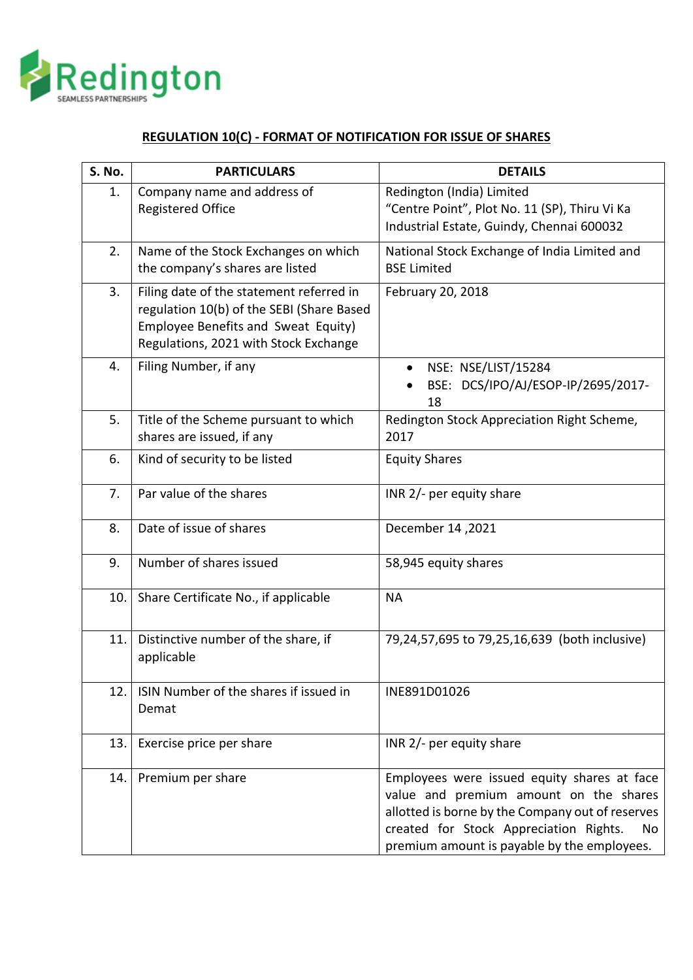

## **REGULATION 10(C) - FORMAT OF NOTIFICATION FOR ISSUE OF SHARES**

| S. No. | <b>PARTICULARS</b>                                                                                                                                                    | <b>DETAILS</b>                                                                                                                                                                                                                           |
|--------|-----------------------------------------------------------------------------------------------------------------------------------------------------------------------|------------------------------------------------------------------------------------------------------------------------------------------------------------------------------------------------------------------------------------------|
| 1.     | Company name and address of<br><b>Registered Office</b>                                                                                                               | Redington (India) Limited<br>"Centre Point", Plot No. 11 (SP), Thiru Vi Ka<br>Industrial Estate, Guindy, Chennai 600032                                                                                                                  |
| 2.     | Name of the Stock Exchanges on which<br>the company's shares are listed                                                                                               | National Stock Exchange of India Limited and<br><b>BSE Limited</b>                                                                                                                                                                       |
| 3.     | Filing date of the statement referred in<br>regulation 10(b) of the SEBI (Share Based<br>Employee Benefits and Sweat Equity)<br>Regulations, 2021 with Stock Exchange | February 20, 2018                                                                                                                                                                                                                        |
| 4.     | Filing Number, if any                                                                                                                                                 | NSE: NSE/LIST/15284<br>$\bullet$<br>BSE: DCS/IPO/AJ/ESOP-IP/2695/2017-<br>18                                                                                                                                                             |
| 5.     | Title of the Scheme pursuant to which<br>shares are issued, if any                                                                                                    | Redington Stock Appreciation Right Scheme,<br>2017                                                                                                                                                                                       |
| 6.     | Kind of security to be listed                                                                                                                                         | <b>Equity Shares</b>                                                                                                                                                                                                                     |
| 7.     | Par value of the shares                                                                                                                                               | INR 2/- per equity share                                                                                                                                                                                                                 |
| 8.     | Date of issue of shares                                                                                                                                               | December 14, 2021                                                                                                                                                                                                                        |
| 9.     | Number of shares issued                                                                                                                                               | 58,945 equity shares                                                                                                                                                                                                                     |
| 10.    | Share Certificate No., if applicable                                                                                                                                  | <b>NA</b>                                                                                                                                                                                                                                |
| 11.    | Distinctive number of the share, if<br>applicable                                                                                                                     | 79,24,57,695 to 79,25,16,639 (both inclusive)                                                                                                                                                                                            |
| 12.    | ISIN Number of the shares if issued in<br>Demat                                                                                                                       | INE891D01026                                                                                                                                                                                                                             |
| 13.    | Exercise price per share                                                                                                                                              | INR 2/- per equity share                                                                                                                                                                                                                 |
| 14.    | Premium per share                                                                                                                                                     | Employees were issued equity shares at face<br>value and premium amount on the shares<br>allotted is borne by the Company out of reserves<br>created for Stock Appreciation Rights.<br>No<br>premium amount is payable by the employees. |